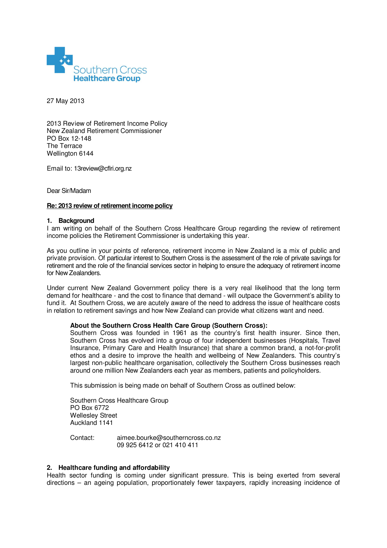

27 May 2013

2013 Review of Retirement Income Policy New Zealand Retirement Commissioner PO Box 12-148 The Terrace Wellington 6144

Email to: 13review@cflri.org.nz

Dear Sir/Madam

### **Re: 2013 review of retirement income policy**

### **1. Background**

I am writing on behalf of the Southern Cross Healthcare Group regarding the review of retirement income policies the Retirement Commissioner is undertaking this year.

As you outline in your points of reference, retirement income in New Zealand is a mix of public and private provision. Of particular interest to Southern Cross is the assessment of the role of private savings for retirement and the role of the financial services sector in helping to ensure the adequacy of retirement income for New Zealanders.

Under current New Zealand Government policy there is a very real likelihood that the long term demand for healthcare - and the cost to finance that demand - will outpace the Government's ability to fund it. At Southern Cross, we are acutely aware of the need to address the issue of healthcare costs in relation to retirement savings and how New Zealand can provide what citizens want and need.

# **About the Southern Cross Health Care Group (Southern Cross):**

Southern Cross was founded in 1961 as the country's first health insurer. Since then, Southern Cross has evolved into a group of four independent businesses (Hospitals, Travel Insurance, Primary Care and Health Insurance) that share a common brand, a not-for-profit ethos and a desire to improve the health and wellbeing of New Zealanders. This country's largest non-public healthcare organisation, collectively the Southern Cross businesses reach around one million New Zealanders each year as members, patients and policyholders.

This submission is being made on behalf of Southern Cross as outlined below:

Southern Cross Healthcare Group PO Box 6772 Wellesley Street Auckland 1141

Contact: aimee.bourke@southerncross.co.nz 09 925 6412 or 021 410 411

# **2. Healthcare funding and affordability**

Health sector funding is coming under significant pressure. This is being exerted from several directions – an ageing population, proportionately fewer taxpayers, rapidly increasing incidence of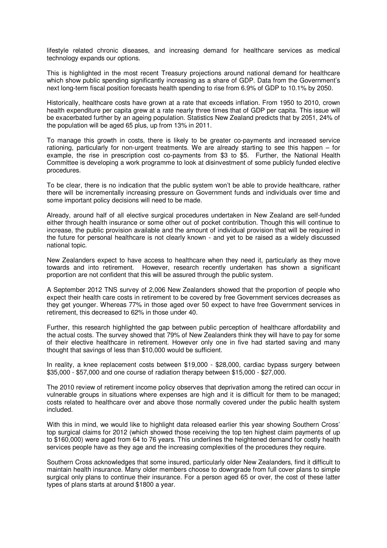lifestyle related chronic diseases, and increasing demand for healthcare services as medical technology expands our options.

This is highlighted in the most recent Treasury projections around national demand for healthcare which show public spending significantly increasing as a share of GDP. Data from the Government's next long-term fiscal position forecasts health spending to rise from 6.9% of GDP to 10.1% by 2050.

Historically, healthcare costs have grown at a rate that exceeds inflation. From 1950 to 2010, crown health expenditure per capita grew at a rate nearly three times that of GDP per capita. This issue will be exacerbated further by an ageing population. Statistics New Zealand predicts that by 2051, 24% of the population will be aged 65 plus, up from 13% in 2011.

To manage this growth in costs, there is likely to be greater co-payments and increased service rationing, particularly for non-urgent treatments. We are already starting to see this happen – for example, the rise in prescription cost co-payments from \$3 to \$5. Further, the National Health Committee is developing a work programme to look at disinvestment of some publicly funded elective procedures.

To be clear, there is no indication that the public system won't be able to provide healthcare, rather there will be incrementally increasing pressure on Government funds and individuals over time and some important policy decisions will need to be made.

Already, around half of all elective surgical procedures undertaken in New Zealand are self-funded either through health insurance or some other out of pocket contribution. Though this will continue to increase, the public provision available and the amount of individual provision that will be required in the future for personal healthcare is not clearly known - and yet to be raised as a widely discussed national topic.

New Zealanders expect to have access to healthcare when they need it, particularly as they move towards and into retirement. However, research recently undertaken has shown a significant proportion are not confident that this will be assured through the public system.

A September 2012 TNS survey of 2,006 New Zealanders showed that the proportion of people who expect their health care costs in retirement to be covered by free Government services decreases as they get younger. Whereas 77% in those aged over 50 expect to have free Government services in retirement, this decreased to 62% in those under 40.

Further, this research highlighted the gap between public perception of healthcare affordability and the actual costs. The survey showed that 79% of New Zealanders think they will have to pay for some of their elective healthcare in retirement. However only one in five had started saving and many thought that savings of less than \$10,000 would be sufficient.

In reality, a knee replacement costs between \$19,000 - \$28,000, cardiac bypass surgery between \$35,000 - \$57,000 and one course of radiation therapy between \$15,000 - \$27,000.

The 2010 review of retirement income policy observes that deprivation among the retired can occur in vulnerable groups in situations where expenses are high and it is difficult for them to be managed; costs related to healthcare over and above those normally covered under the public health system included.

With this in mind, we would like to highlight data released earlier this year showing Southern Cross' top surgical claims for 2012 (which showed those receiving the top ten highest claim payments of up to \$160,000) were aged from 64 to 76 years. This underlines the heightened demand for costly health services people have as they age and the increasing complexities of the procedures they require.

Southern Cross acknowledges that some insured, particularly older New Zealanders, find it difficult to maintain health insurance. Many older members choose to downgrade from full cover plans to simple surgical only plans to continue their insurance. For a person aged 65 or over, the cost of these latter types of plans starts at around \$1800 a year.